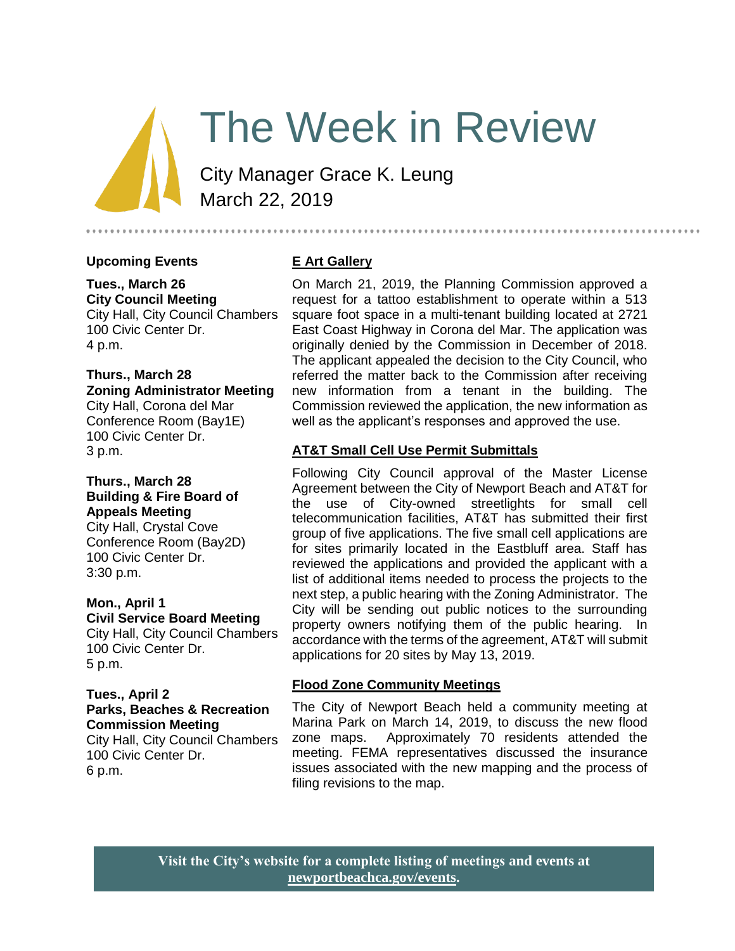# The Week in Review

City Manager Grace K. Leung March 22, 2019

## **Upcoming Events**

## **Tues., March 26 City Council Meeting**

City Hall, City Council Chambers 100 Civic Center Dr. 4 p.m.

#### **Thurs., March 28 Zoning Administrator Meeting**

City Hall, Corona del Mar Conference Room (Bay1E) 100 Civic Center Dr. 3 p.m.

## **Thurs., March 28 Building & Fire Board of Appeals Meeting**

City Hall, Crystal Cove Conference Room (Bay2D) 100 Civic Center Dr. 3:30 p.m.

#### **Mon., April 1 Civil Service Board Meeting**

City Hall, City Council Chambers 100 Civic Center Dr. 5 p.m.

#### **Tues., April 2 Parks, Beaches & Recreation Commission Meeting** City Hall, City Council Chambers

100 Civic Center Dr. 6 p.m.

## **E Art Gallery**

On March 21, 2019, the Planning Commission approved a request for a tattoo establishment to operate within a 513 square foot space in a multi-tenant building located at 2721 East Coast Highway in Corona del Mar. The application was originally denied by the Commission in December of 2018. The applicant appealed the decision to the City Council, who referred the matter back to the Commission after receiving new information from a tenant in the building. The Commission reviewed the application, the new information as well as the applicant's responses and approved the use.

..........................

## **AT&T Small Cell Use Permit Submittals**

Following City Council approval of the Master License Agreement between the City of Newport Beach and AT&T for the use of City-owned streetlights for small cell telecommunication facilities, AT&T has submitted their first group of five applications. The five small cell applications are for sites primarily located in the Eastbluff area. Staff has reviewed the applications and provided the applicant with a list of additional items needed to process the projects to the next step, a public hearing with the Zoning Administrator. The City will be sending out public notices to the surrounding property owners notifying them of the public hearing. In accordance with the terms of the agreement, AT&T will submit applications for 20 sites by May 13, 2019.

## **Flood Zone Community Meetings**

The City of Newport Beach held a community meeting at Marina Park on March 14, 2019, to discuss the new flood zone maps. Approximately 70 residents attended the meeting. FEMA representatives discussed the insurance issues associated with the new mapping and the process of filing revisions to the map.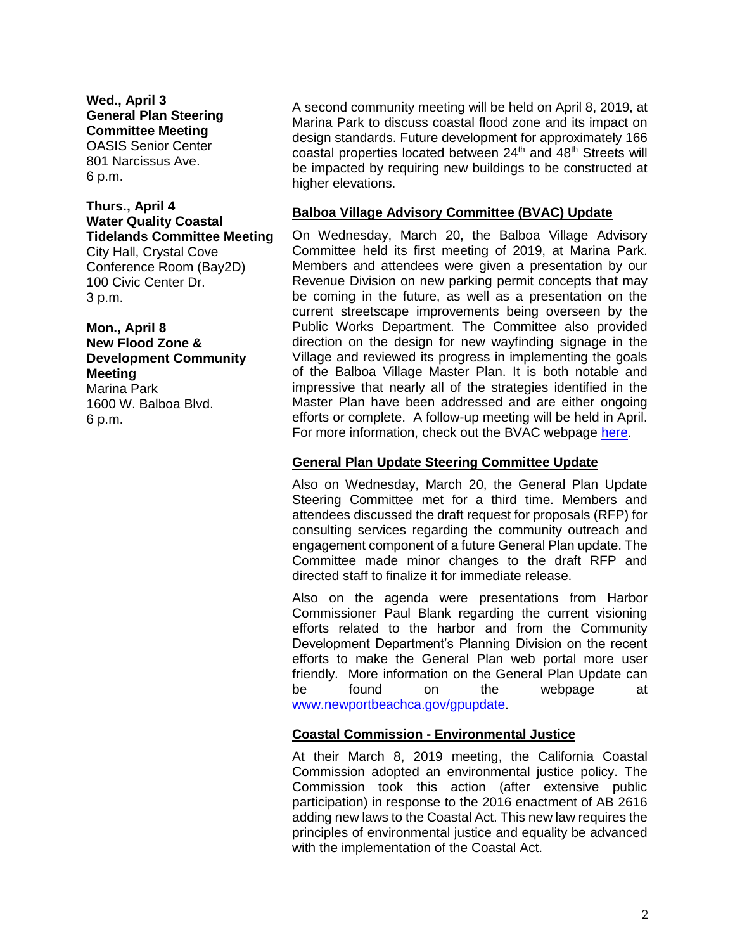**Wed., April 3 General Plan Steering Committee Meeting**  OASIS Senior Center 801 Narcissus Ave. 6 p.m.

## **Thurs., April 4 Water Quality Coastal Tidelands Committee Meeting**

City Hall, Crystal Cove Conference Room (Bay2D) 100 Civic Center Dr. 3 p.m.

**Mon., April 8 New Flood Zone & Development Community Meeting**  Marina Park 1600 W. Balboa Blvd. 6 p.m.

A second community meeting will be held on April 8, 2019, at Marina Park to discuss coastal flood zone and its impact on design standards. Future development for approximately 166 coastal properties located between 24<sup>th</sup> and 48<sup>th</sup> Streets will be impacted by requiring new buildings to be constructed at higher elevations.

### **Balboa Village Advisory Committee (BVAC) Update**

On Wednesday, March 20, the Balboa Village Advisory Committee held its first meeting of 2019, at Marina Park. Members and attendees were given a presentation by our Revenue Division on new parking permit concepts that may be coming in the future, as well as a presentation on the current streetscape improvements being overseen by the Public Works Department. The Committee also provided direction on the design for new wayfinding signage in the Village and reviewed its progress in implementing the goals of the Balboa Village Master Plan. It is both notable and impressive that nearly all of the strategies identified in the Master Plan have been addressed and are either ongoing efforts or complete. A follow-up meeting will be held in April. For more information, check out the BVAC webpage [here.](https://www.newportbeachca.gov/government/open-government/agendas-minutes/balboa-village-advisory-committee-agenda-bvac)

## **General Plan Update Steering Committee Update**

Also on Wednesday, March 20, the General Plan Update Steering Committee met for a third time. Members and attendees discussed the draft request for proposals (RFP) for consulting services regarding the community outreach and engagement component of a future General Plan update. The Committee made minor changes to the draft RFP and directed staff to finalize it for immediate release.

Also on the agenda were presentations from Harbor Commissioner Paul Blank regarding the current visioning efforts related to the harbor and from the Community Development Department's Planning Division on the recent efforts to make the General Plan web portal more user friendly. More information on the General Plan Update can be found on the webpage at [www.newportbeachca.gov/gpupdate.](http://www.newportbeachca.gov/gpupdate)

#### **Coastal Commission - Environmental Justice**

At their March 8, 2019 meeting, the California Coastal Commission adopted an environmental justice policy. The Commission took this action (after extensive public participation) in response to the 2016 enactment of AB 2616 adding new laws to the Coastal Act. This new law requires the principles of environmental justice and equality be advanced with the implementation of the Coastal Act.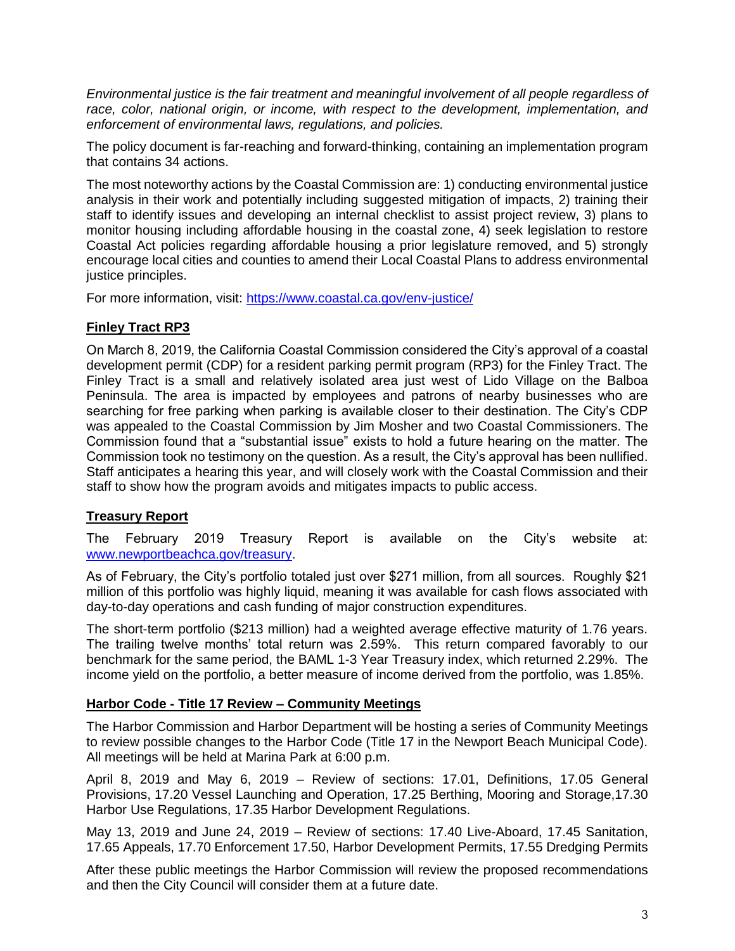*Environmental justice is the fair treatment and meaningful involvement of all people regardless of race, color, national origin, or income, with respect to the development, implementation, and enforcement of environmental laws, regulations, and policies.*

The policy document is far-reaching and forward-thinking, containing an implementation program that contains 34 actions.

The most noteworthy actions by the Coastal Commission are: 1) conducting environmental justice analysis in their work and potentially including suggested mitigation of impacts, 2) training their staff to identify issues and developing an internal checklist to assist project review, 3) plans to monitor housing including affordable housing in the coastal zone, 4) seek legislation to restore Coastal Act policies regarding affordable housing a prior legislature removed, and 5) strongly encourage local cities and counties to amend their Local Coastal Plans to address environmental justice principles.

For more information, visit:<https://www.coastal.ca.gov/env-justice/>

## **Finley Tract RP3**

On March 8, 2019, the California Coastal Commission considered the City's approval of a coastal development permit (CDP) for a resident parking permit program (RP3) for the Finley Tract. The Finley Tract is a small and relatively isolated area just west of Lido Village on the Balboa Peninsula. The area is impacted by employees and patrons of nearby businesses who are searching for free parking when parking is available closer to their destination. The City's CDP was appealed to the Coastal Commission by Jim Mosher and two Coastal Commissioners. The Commission found that a "substantial issue" exists to hold a future hearing on the matter. The Commission took no testimony on the question. As a result, the City's approval has been nullified. Staff anticipates a hearing this year, and will closely work with the Coastal Commission and their staff to show how the program avoids and mitigates impacts to public access.

## **Treasury Report**

The February 2019 Treasury Report is available on the City's website at: [www.newportbeachca.gov/treasury.](http://www.newportbeachca.gov/treasury)

As of February, the City's portfolio totaled just over \$271 million, from all sources. Roughly \$21 million of this portfolio was highly liquid, meaning it was available for cash flows associated with day-to-day operations and cash funding of major construction expenditures.

The short-term portfolio (\$213 million) had a weighted average effective maturity of 1.76 years. The trailing twelve months' total return was 2.59%. This return compared favorably to our benchmark for the same period, the BAML 1-3 Year Treasury index, which returned 2.29%. The income yield on the portfolio, a better measure of income derived from the portfolio, was 1.85%.

## **Harbor Code - Title 17 Review – Community Meetings**

The Harbor Commission and Harbor Department will be hosting a series of Community Meetings to review possible changes to the Harbor Code (Title 17 in the Newport Beach Municipal Code). All meetings will be held at Marina Park at 6:00 p.m.

April 8, 2019 and May 6, 2019 – Review of sections: 17.01, Definitions, 17.05 General Provisions, 17.20 Vessel Launching and Operation, 17.25 Berthing, Mooring and Storage,17.30 Harbor Use Regulations, 17.35 Harbor Development Regulations.

May 13, 2019 and June 24, 2019 – Review of sections: 17.40 Live-Aboard, 17.45 Sanitation, 17.65 Appeals, 17.70 Enforcement 17.50, Harbor Development Permits, 17.55 Dredging Permits

After these public meetings the Harbor Commission will review the proposed recommendations and then the City Council will consider them at a future date.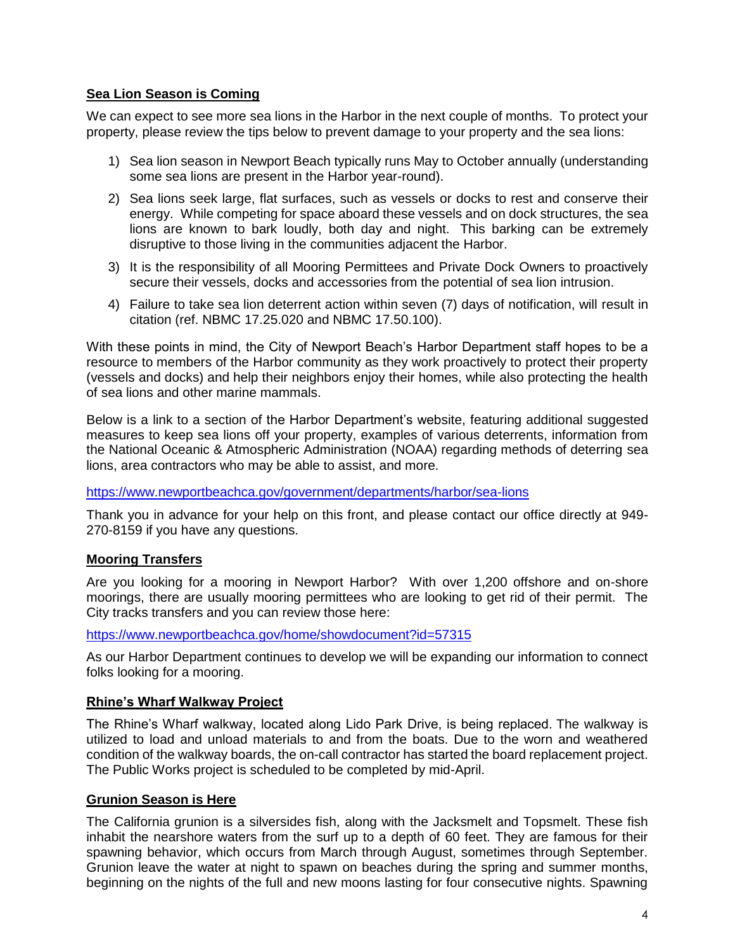## **Sea Lion Season is Coming**

We can expect to see more sea lions in the Harbor in the next couple of months. To protect your property, please review the tips below to prevent damage to your property and the sea lions:

- 1) Sea lion season in Newport Beach typically runs May to October annually (understanding some sea lions are present in the Harbor year-round).
- 2) Sea lions seek large, flat surfaces, such as vessels or docks to rest and conserve their energy. While competing for space aboard these vessels and on dock structures, the sea lions are known to bark loudly, both day and night. This barking can be extremely disruptive to those living in the communities adjacent the Harbor.
- 3) It is the responsibility of all Mooring Permittees and Private Dock Owners to proactively secure their vessels, docks and accessories from the potential of sea lion intrusion.
- 4) Failure to take sea lion deterrent action within seven (7) days of notification, will result in citation (ref. NBMC 17.25.020 and NBMC 17.50.100).

With these points in mind, the City of Newport Beach's Harbor Department staff hopes to be a resource to members of the Harbor community as they work proactively to protect their property (vessels and docks) and help their neighbors enjoy their homes, while also protecting the health of sea lions and other marine mammals.

Below is a link to a section of the Harbor Department's website, featuring additional suggested measures to keep sea lions off your property, examples of various deterrents, information from the National Oceanic & Atmospheric Administration (NOAA) regarding methods of deterring sea lions, area contractors who may be able to assist, and more.

#### <https://www.newportbeachca.gov/government/departments/harbor/sea-lions>

Thank you in advance for your help on this front, and please contact our office directly at 949- 270-8159 if you have any questions.

## **Mooring Transfers**

Are you looking for a mooring in Newport Harbor? With over 1,200 offshore and on-shore moorings, there are usually mooring permittees who are looking to get rid of their permit. The City tracks transfers and you can review those here:

<https://www.newportbeachca.gov/home/showdocument?id=57315>

As our Harbor Department continues to develop we will be expanding our information to connect folks looking for a mooring.

## **Rhine's Wharf Walkway Project**

The Rhine's Wharf walkway, located along Lido Park Drive, is being replaced. The walkway is utilized to load and unload materials to and from the boats. Due to the worn and weathered condition of the walkway boards, the on-call contractor has started the board replacement project. The Public Works project is scheduled to be completed by mid-April.

## **Grunion Season is Here**

The California grunion is a silversides fish, along with the Jacksmelt and Topsmelt. These fish inhabit the nearshore waters from the surf up to a depth of 60 feet. They are famous for their spawning behavior, which occurs from March through August, sometimes through September. Grunion leave the water at night to spawn on beaches during the spring and summer months, beginning on the nights of the full and new moons lasting for four consecutive nights. Spawning